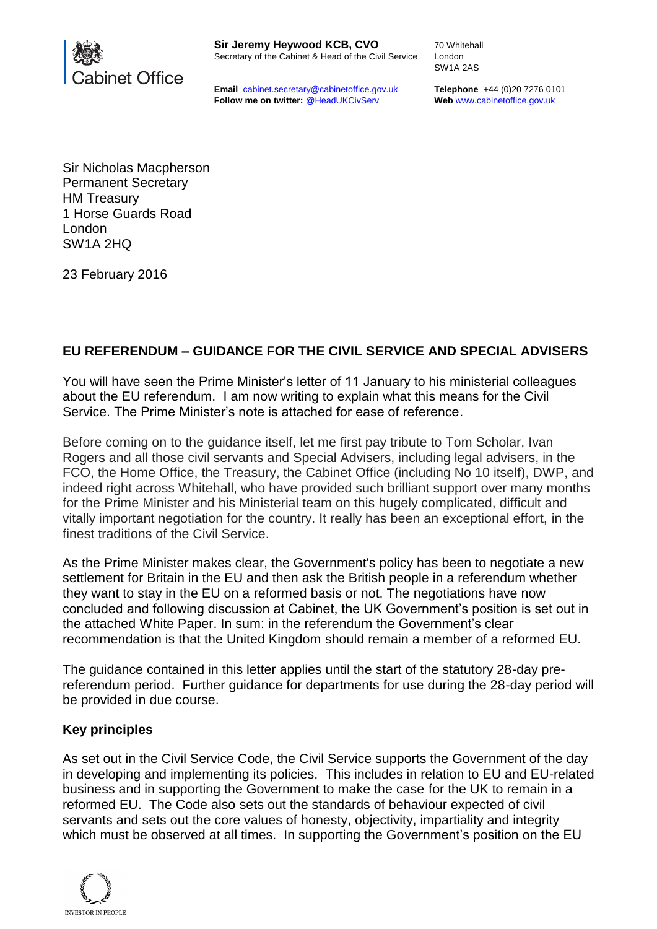

**Email** cabinet.secretary@cabinetoffice.gov.uk **Follow me on twitter:** @HeadUKCivServ

70 Whitehall London SW1A 2AS

**Telephone** +44 (0)20 7276 0101 **Web** [www.cabinetoffice.gov.uk](http://www.cabinetoffice.gov.uk/)

Sir Nicholas Macpherson Permanent Secretary HM Treasury 1 Horse Guards Road London SW1A 2HQ

23 February 2016

# **EU REFERENDUM – GUIDANCE FOR THE CIVIL SERVICE AND SPECIAL ADVISERS**

You will have seen the Prime Minister's letter of 11 January to his ministerial colleagues about the EU referendum. I am now writing to explain what this means for the Civil Service. The Prime Minister's note is attached for ease of reference.

Before coming on to the guidance itself, let me first pay tribute to Tom Scholar, Ivan Rogers and all those civil servants and Special Advisers, including legal advisers, in the FCO, the Home Office, the Treasury, the Cabinet Office (including No 10 itself), DWP, and indeed right across Whitehall, who have provided such brilliant support over many months for the Prime Minister and his Ministerial team on this hugely complicated, difficult and vitally important negotiation for the country. It really has been an exceptional effort, in the finest traditions of the Civil Service.

As the Prime Minister makes clear, the Government's policy has been to negotiate a new settlement for Britain in the EU and then ask the British people in a referendum whether they want to stay in the EU on a reformed basis or not. The negotiations have now concluded and following discussion at Cabinet, the UK Government's position is set out in the attached White Paper. In sum: in the referendum the Government's clear recommendation is that the United Kingdom should remain a member of a reformed EU.

The guidance contained in this letter applies until the start of the statutory 28-day prereferendum period. Further guidance for departments for use during the 28-day period will be provided in due course.

### **Key principles**

As set out in the Civil Service Code, the Civil Service supports the Government of the day in developing and implementing its policies. This includes in relation to EU and EU-related business and in supporting the Government to make the case for the UK to remain in a reformed EU. The Code also sets out the standards of behaviour expected of civil servants and sets out the core values of honesty, objectivity, impartiality and integrity which must be observed at all times. In supporting the Government's position on the EU

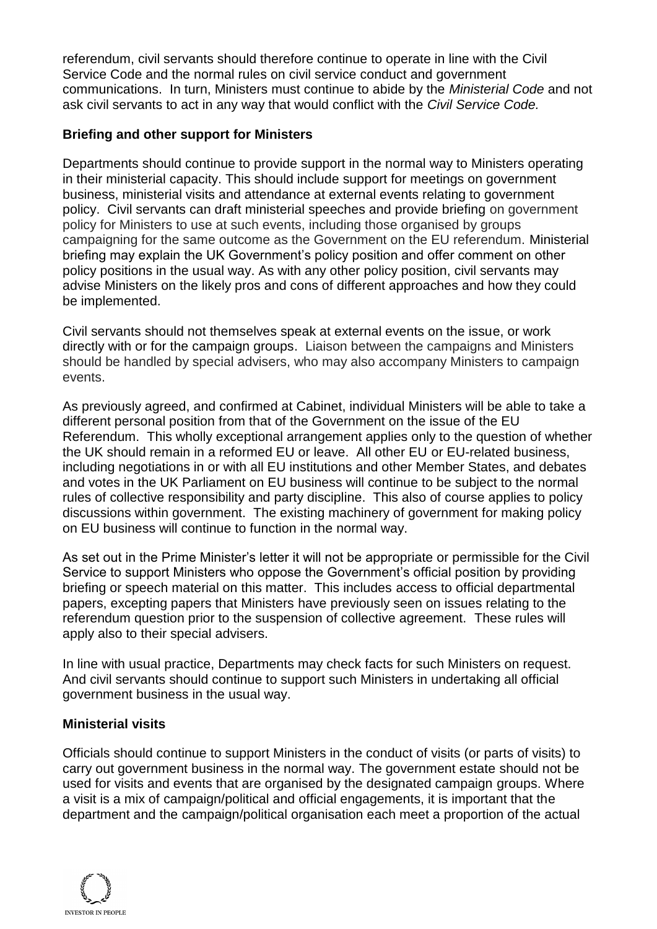referendum, civil servants should therefore continue to operate in line with the Civil Service Code and the normal rules on civil service conduct and government communications. In turn, Ministers must continue to abide by the *Ministerial Code* and not ask civil servants to act in any way that would conflict with the *Civil Service Code.*

## **Briefing and other support for Ministers**

Departments should continue to provide support in the normal way to Ministers operating in their ministerial capacity. This should include support for meetings on government business, ministerial visits and attendance at external events relating to government policy. Civil servants can draft ministerial speeches and provide briefing on government policy for Ministers to use at such events, including those organised by groups campaigning for the same outcome as the Government on the EU referendum. Ministerial briefing may explain the UK Government's policy position and offer comment on other policy positions in the usual way. As with any other policy position, civil servants may advise Ministers on the likely pros and cons of different approaches and how they could be implemented.

Civil servants should not themselves speak at external events on the issue, or work directly with or for the campaign groups. Liaison between the campaigns and Ministers should be handled by special advisers, who may also accompany Ministers to campaign events.

As previously agreed, and confirmed at Cabinet, individual Ministers will be able to take a different personal position from that of the Government on the issue of the EU Referendum. This wholly exceptional arrangement applies only to the question of whether the UK should remain in a reformed EU or leave. All other EU or EU-related business, including negotiations in or with all EU institutions and other Member States, and debates and votes in the UK Parliament on EU business will continue to be subject to the normal rules of collective responsibility and party discipline. This also of course applies to policy discussions within government. The existing machinery of government for making policy on EU business will continue to function in the normal way.

As set out in the Prime Minister's letter it will not be appropriate or permissible for the Civil Service to support Ministers who oppose the Government's official position by providing briefing or speech material on this matter. This includes access to official departmental papers, excepting papers that Ministers have previously seen on issues relating to the referendum question prior to the suspension of collective agreement. These rules will apply also to their special advisers.

In line with usual practice, Departments may check facts for such Ministers on request. And civil servants should continue to support such Ministers in undertaking all official government business in the usual way.

### **Ministerial visits**

Officials should continue to support Ministers in the conduct of visits (or parts of visits) to carry out government business in the normal way. The government estate should not be used for visits and events that are organised by the designated campaign groups. Where a visit is a mix of campaign/political and official engagements, it is important that the department and the campaign/political organisation each meet a proportion of the actual

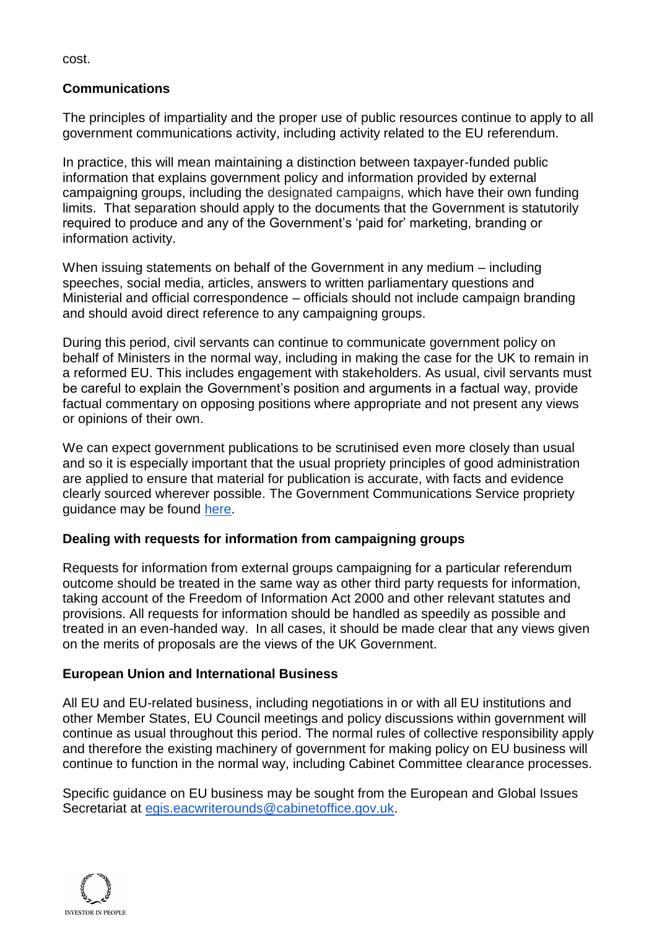cost.

## **Communications**

The principles of impartiality and the proper use of public resources continue to apply to all government communications activity, including activity related to the EU referendum.

In practice, this will mean maintaining a distinction between taxpayer-funded public information that explains government policy and information provided by external campaigning groups, including the designated campaigns, which have their own funding limits. That separation should apply to the documents that the Government is statutorily required to produce and any of the Government's 'paid for' marketing, branding or information activity.

When issuing statements on behalf of the Government in any medium – including speeches, social media, articles, answers to written parliamentary questions and Ministerial and official correspondence – officials should not include campaign branding and should avoid direct reference to any campaigning groups.

During this period, civil servants can continue to communicate government policy on behalf of Ministers in the normal way, including in making the case for the UK to remain in a reformed EU. This includes engagement with stakeholders. As usual, civil servants must be careful to explain the Government's position and arguments in a factual way, provide factual commentary on opposing positions where appropriate and not present any views or opinions of their own.

We can expect government publications to be scrutinised even more closely than usual and so it is especially important that the usual propriety principles of good administration are applied to ensure that material for publication is accurate, with facts and evidence clearly sourced wherever possible. The Government Communications Service propriety guidance may be found [here.](https://gcs.civilservice.gov.uk/wp-content/uploads/2015/09/Government-Communication-Propriety-Guidance.pdf)

# **Dealing with requests for information from campaigning groups**

Requests for information from external groups campaigning for a particular referendum outcome should be treated in the same way as other third party requests for information, taking account of the Freedom of Information Act 2000 and other relevant statutes and provisions. All requests for information should be handled as speedily as possible and treated in an even-handed way. In all cases, it should be made clear that any views given on the merits of proposals are the views of the UK Government.

# **European Union and International Business**

All EU and EU-related business, including negotiations in or with all EU institutions and other Member States, EU Council meetings and policy discussions within government will continue as usual throughout this period. The normal rules of collective responsibility apply and therefore the existing machinery of government for making policy on EU business will continue to function in the normal way, including Cabinet Committee clearance processes.

Specific guidance on EU business may be sought from the European and Global Issues Secretariat at [egis.eacwriterounds@cabinetoffice.gov.uk.](mailto:egis.eacwriterounds@cabinetoffice.gov.uk)

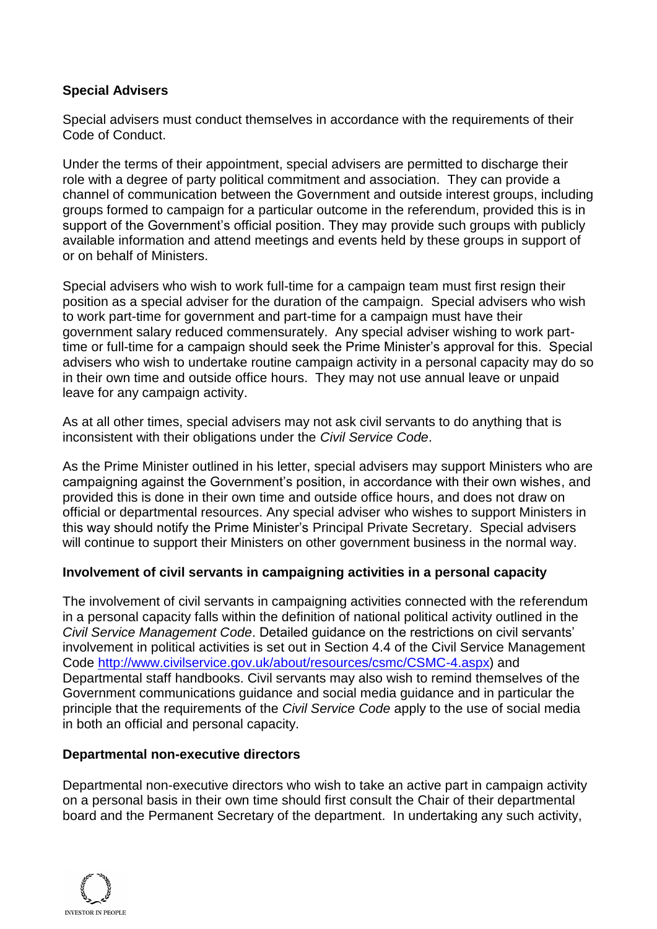# **Special Advisers**

Special advisers must conduct themselves in accordance with the requirements of their Code of Conduct.

Under the terms of their appointment, special advisers are permitted to discharge their role with a degree of party political commitment and association. They can provide a channel of communication between the Government and outside interest groups, including groups formed to campaign for a particular outcome in the referendum, provided this is in support of the Government's official position. They may provide such groups with publicly available information and attend meetings and events held by these groups in support of or on behalf of Ministers.

Special advisers who wish to work full-time for a campaign team must first resign their position as a special adviser for the duration of the campaign. Special advisers who wish to work part-time for government and part-time for a campaign must have their government salary reduced commensurately. Any special adviser wishing to work parttime or full-time for a campaign should seek the Prime Minister's approval for this. Special advisers who wish to undertake routine campaign activity in a personal capacity may do so in their own time and outside office hours. They may not use annual leave or unpaid leave for any campaign activity.

As at all other times, special advisers may not ask civil servants to do anything that is inconsistent with their obligations under the *Civil Service Code*.

As the Prime Minister outlined in his letter, special advisers may support Ministers who are campaigning against the Government's position, in accordance with their own wishes, and provided this is done in their own time and outside office hours, and does not draw on official or departmental resources. Any special adviser who wishes to support Ministers in this way should notify the Prime Minister's Principal Private Secretary. Special advisers will continue to support their Ministers on other government business in the normal way.

# **Involvement of civil servants in campaigning activities in a personal capacity**

The involvement of civil servants in campaigning activities connected with the referendum in a personal capacity falls within the definition of national political activity outlined in the *Civil Service Management Code*. Detailed guidance on the restrictions on civil servants' involvement in political activities is set out in Section 4.4 of the Civil Service Management Code [http://www.civilservice.gov.uk/about/resources/csmc/CSMC-4.aspx\)](http://www.civilservice.gov.uk/about/resources/csmc/CSMC-4.aspx) and Departmental staff handbooks. Civil servants may also wish to remind themselves of the Government communications guidance and social media guidance and in particular the principle that the requirements of the *Civil Service Code* apply to the use of social media in both an official and personal capacity.

### **Departmental non-executive directors**

Departmental non-executive directors who wish to take an active part in campaign activity on a personal basis in their own time should first consult the Chair of their departmental board and the Permanent Secretary of the department. In undertaking any such activity,